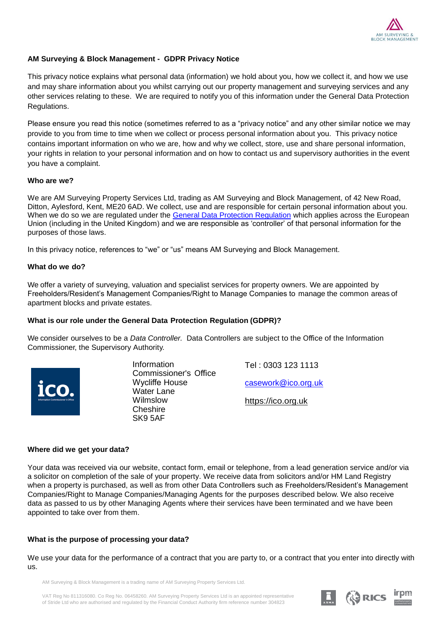

### **AM Surveying & Block Management - GDPR Privacy Notice**

This privacy notice explains what personal data (information) we hold about you, how we collect it, and how we use and may share information about you whilst carrying out our property management and surveying services and any other services relating to these. We are required to notify you of this information under the General Data Protection Regulations.

Please ensure you read this notice (sometimes referred to as a "privacy notice" and any other similar notice we may provide to you from time to time when we collect or process personal information about you. This privacy notice contains important information on who we are, how and why we collect, store, use and share personal information, your rights in relation to your personal information and on how to contact us and supervisory authorities in the event you have a complaint.

#### **Who are we?**

We are AM Surveying Property Services Ltd, trading as AM Surveying and Block Management, of 42 New Road, Ditton, Aylesford, Kent, ME20 6AD. We collect, use and are responsible for certain personal information about you. When we do so we are regulated under the General Data Protection Regulation which applies across the European Union (including in the United Kingdom) and we are responsible as 'controller' of that personal information for the purposes of those laws.

In this privacy notice, references to "we" or "us" means AM Surveying and Block Management.

#### **What do we do?**

We offer a variety of surveying, valuation and specialist services for property owners. We are appointed by Freeholders/Resident's Management Companies/Right to Manage Companies to manage the common areas of apartment blocks and private estates.

#### **What is our role under the General Data Protection Regulation (GDPR)?**

We consider ourselves to be a *Data Controller.* Data Controllers are subject to the Office of the Information Commissioner, the Supervisory Authority.



Information Commissioner's Office Wycliffe House Water Lane Wilmslow **Cheshire** SK9 5AF

Tel : 0303 123 1113 [casework@ico.org.uk](mailto:casework@ico.org.uk) https://ico.org.uk

#### **Where did we get your data?**

Your data was received via our website, contact form, email or telephone, from a lead generation service and/or via a solicitor on completion of the sale of your property. We receive data from solicitors and/or HM Land Registry when a property is purchased, as well as from other Data Controllers such as Freeholders/Resident's Management Companies/Right to Manage Companies/Managing Agents for the purposes described below. We also receive data as passed to us by other Managing Agents where their services have been terminated and we have been appointed to take over from them.

#### **What is the purpose of processing your data?**

We use your data for the performance of a contract that you are party to, or a contract that you enter into directly with us.

AM Surveying & Block Management is a trading name of AM Surveying Property Services Ltd.

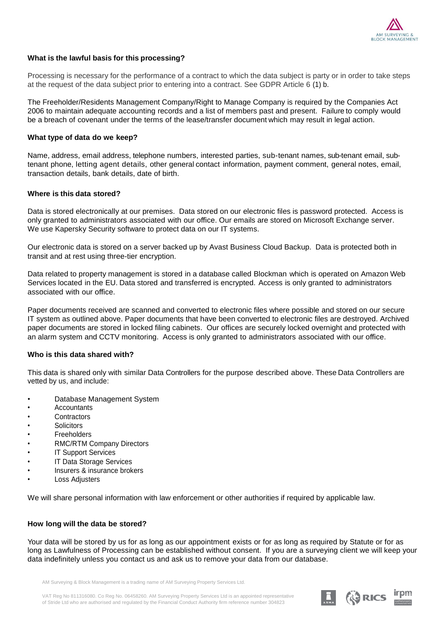

#### **What is the lawful basis for this processing?**

Processing is necessary for the performance of a contract to which the data subject is party or in order to take steps at the request of the data subject prior to entering into a contract. See GDPR Article 6 (1) b.

The Freeholder/Residents Management Company/Right to Manage Company is required by the Companies Act 2006 to maintain adequate accounting records and a list of members past and present. Failure to comply would be a breach of covenant under the terms of the lease/transfer document which may result in legal action.

#### **What type of data do we keep?**

Name, address, email address, telephone numbers, interested parties, sub-tenant names, sub-tenant email, subtenant phone, letting agent details, other general contact information, payment comment, general notes, email, transaction details, bank details, date of birth.

#### **Where is this data stored?**

Data is stored electronically at our premises. Data stored on our electronic files is password protected. Access is only granted to administrators associated with our office. Our emails are stored on Microsoft Exchange server. We use Kapersky Security software to protect data on our IT systems.

Our electronic data is stored on a server backed up by Avast Business Cloud Backup. Data is protected both in transit and at rest using three-tier encryption.

Data related to property management is stored in a database called Blockman which is operated on Amazon Web Services located in the EU. Data stored and transferred is encrypted. Access is only granted to administrators associated with our office.

Paper documents received are scanned and converted to electronic files where possible and stored on our secure IT system as outlined above. Paper documents that have been converted to electronic files are destroyed. Archived paper documents are stored in locked filing cabinets. Our offices are securely locked overnight and protected with an alarm system and CCTV monitoring. Access is only granted to administrators associated with our office.

#### **Who is this data shared with?**

This data is shared only with similar Data Controllers for the purpose described above. These Data Controllers are vetted by us, and include:

- Database Management System
- Accountants
- Contractors
- **Solicitors**
- **Freeholders**
- RMC/RTM Company Directors
- **IT Support Services**
- **IT Data Storage Services**
- Insurers & insurance brokers
- **Loss Adjusters**

We will share personal information with law enforcement or other authorities if required by applicable law.

#### **How long will the data be stored?**

Your data will be stored by us for as long as our appointment exists or for as long as required by Statute or for as long as Lawfulness of Processing can be established without consent. If you are a surveying client we will keep your data indefinitely unless you contact us and ask us to remove your data from our database.

AM Surveying & Block Management is a trading name of AM Surveying Property Services Ltd.

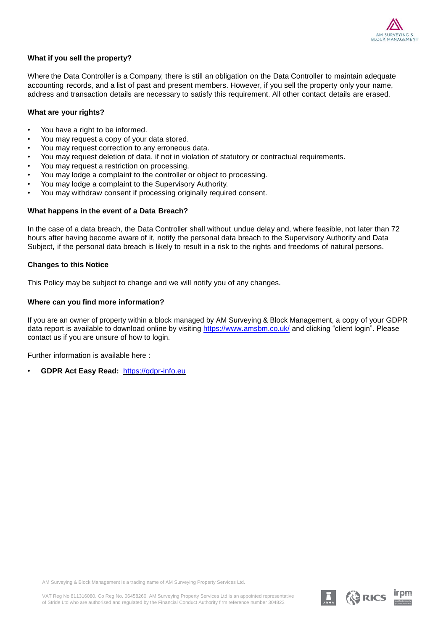

#### **What if you sell the property?**

Where the Data Controller is a Company, there is still an obligation on the Data Controller to maintain adequate accounting records, and a list of past and present members. However, if you sell the property only your name, address and transaction details are necessary to satisfy this requirement. All other contact details are erased.

#### **What are your rights?**

- You have a right to be informed.
- You may request a copy of your data stored.
- You may request correction to any erroneous data.
- You may request deletion of data, if not in violation of statutory or contractual requirements.
- You may request a restriction on processing.
- You may lodge a complaint to the controller or object to processing.
- You may lodge a complaint to the Supervisory Authority.
- You may withdraw consent if processing originally required consent.

#### **What happens in the event of a Data Breach?**

In the case of a data breach, the Data Controller shall without undue delay and, where feasible, not later than 72 hours after having become aware of it, notify the personal data breach to the Supervisory Authority and Data Subject, if the personal data breach is likely to result in a risk to the rights and freedoms of natural persons.

#### **Changes to this Notice**

This Policy may be subject to change and we will notify you of any changes.

#### **Where can you find more information?**

If you are an owner of property within a block managed by AM Surveying & Block Management, a copy of your GDPR data report is available to download online by visiting<https://www.amsbm.co.uk/> and clicking "client login". Please contact us if you are unsure of how to login.

Further information is available here :

• **GDPR Act Easy Read:** [https://gdpr-info.eu](https://gdpr-info.eu/)

AM Surveying & Block Management is a trading name of AM Surveying Property Services Ltd.

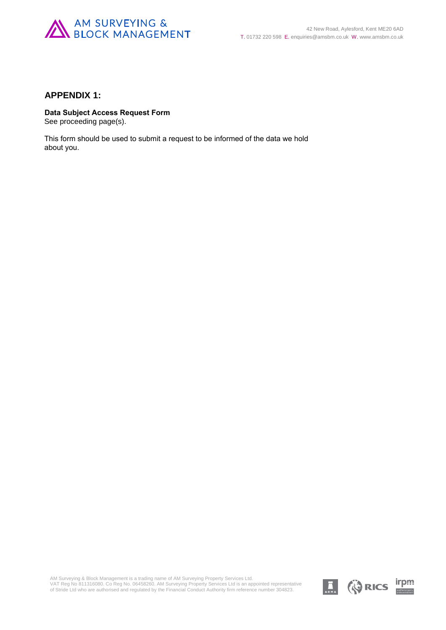

### **APPENDIX 1:**

### **Data Subject Access Request Form**

See proceeding page(s).

This form should be used to submit a request to be informed of the data we hold about you.

AM Surveying & Block Management is a trading name of AM Surveying Property Services Ltd.<br>VAT Reg No 811316080. Co Reg No. 06458260. AM Surveying Property Services Ltd is an appointed representative<br>of Stride Ltd who are au

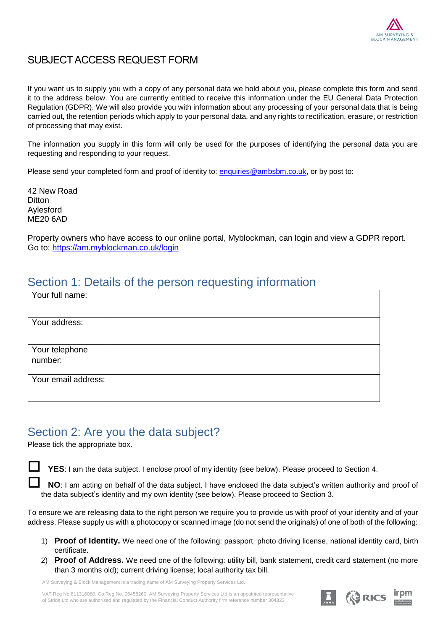

### SUBJECT ACCESS REQUEST FORM

If you want us to supply you with a copy of any personal data we hold about you, please complete this form and send it to the address below. You are currently entitled to receive this information under the EU General Data Protection Regulation (GDPR). We will also provide you with information about any processing of your personal data that is being carried out, the retention periods which apply to your personal data, and any rights to rectification, erasure, or restriction of processing that may exist.

The information you supply in this form will only be used for the purposes of identifying the personal data you are requesting and responding to your request.

Please send your completed form and proof of identity to: [enquiries@ambsbm.co.uk,](mailto:enquiries@ambsbm.co.uk) or by post to:

42 New Road **Ditton** Aylesford ME20 6AD

Property owners who have access to our online portal, Myblockman, can login and view a GDPR report. Go to:<https://am.myblockman.co.uk/login>

## Section 1: Details of the person requesting information

|                           |  | $\tilde{\phantom{a}}$ |  |
|---------------------------|--|-----------------------|--|
| Your full name:           |  |                       |  |
| Your address:             |  |                       |  |
| Your telephone<br>number: |  |                       |  |
| Your email address:       |  |                       |  |

## Section 2: Are you the data subject?

Please tick the appropriate box.

 **YES**: I am the data subject. I enclose proof of my identity (see below). Please proceed to Section 4.

 **NO**: I am acting on behalf of the data subject. I have enclosed the data subject's written authority and proof of the data subject's identity and my own identity (see below). Please proceed to Section 3.

To ensure we are releasing data to the right person we require you to provide us with proof of your identity and of your address. Please supply us with a photocopy or scanned image (do not send the originals) of one of both of the following:

- 1) **Proof of Identity.** We need one of the following: passport, photo driving license, national identity card, birth certificate.
- 2) **Proof of Address.** We need one of the following: utility bill, bank statement, credit card statement (no more than 3 months old); current driving license; local authority tax bill.

AM Surveying & Block Management is a trading name of AM Surveying Property Services Ltd.

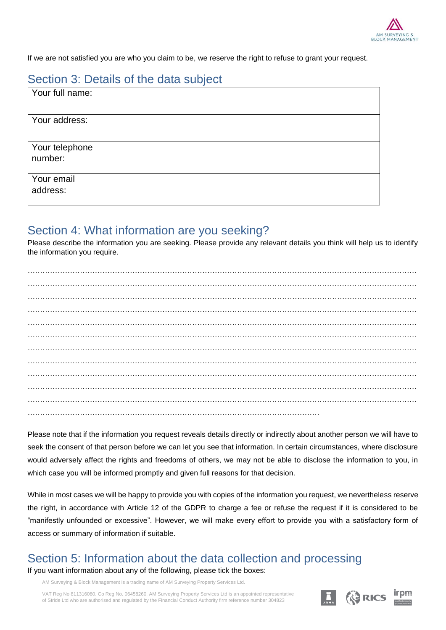

If we are not satisfied you are who you claim to be, we reserve the right to refuse to grant your request.

## Section 3: Details of the data subject

| Your full name:           |  |
|---------------------------|--|
| Your address:             |  |
| Your telephone<br>number: |  |
| Your email<br>address:    |  |

### Section 4: What information are you seeking?

Please describe the information you are seeking. Please provide any relevant details you think will help us to identify the information you require.

Please note that if the information you request reveals details directly or indirectly about another person we will have to seek the consent of that person before we can let you see that information. In certain circumstances, where disclosure would adversely affect the rights and freedoms of others, we may not be able to disclose the information to you, in which case you will be informed promptly and given full reasons for that decision.

While in most cases we will be happy to provide you with copies of the information you request, we nevertheless reserve the right, in accordance with Article 12 of the GDPR to charge a fee or refuse the request if it is considered to be "manifestly unfounded or excessive". However, we will make every effort to provide you with a satisfactory form of access or summary of information if suitable.

# Section 5: Information about the data collection and processing

If you want information about any of the following, please tick the boxes:

AM Surveying & Block Management is a trading name of AM Surveying Property Services Ltd.